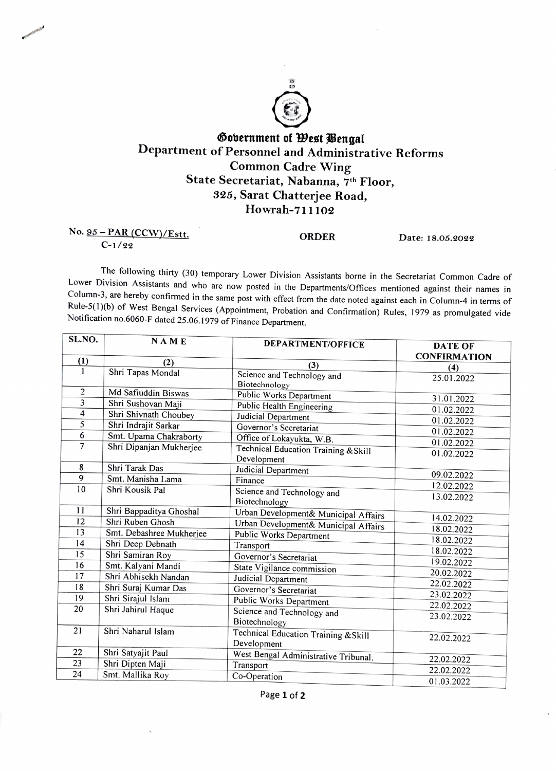

## Öobernment of West Gengal Department of Personnel and Administrative Reforms Common Cadre Wing State Secretariat, Nabanna, 7th Floor, 325, Sarat Chatterjee Road, Howrah-711102

## No. <u>95 - PAR (CCW)/Estt.</u> CORDER Date: 18.05.2022

C-1/22

The following thirty (30) temporary Lower Division Assistants borne in the Secretariat Common Cadre of Lower Division Assistants and who are now posted in the Departments/Offices mentioned against their names in Column-3, are hereby confirmed in the same post with effect from the date noted against each in Column-4 in terms of<br>Rule-5(1)(b) of West Bengal Services (Appointment, Probation and Confirmation) Rules, 1979 as promulgated Notification no.6060-F dated 25.06.1979 of Finance Department.

| SL.NO.                  | <b>NAME</b>              | <b>DEPARTMENT/OFFICE</b>             | <b>DATE OF</b><br><b>CONFIRMATION</b> |
|-------------------------|--------------------------|--------------------------------------|---------------------------------------|
| (1)                     | (2)                      | (3)                                  | (4)                                   |
| 1                       | Shri Tapas Mondal        | Science and Technology and           | 25.01.2022                            |
|                         |                          | Biotechnology                        |                                       |
| $\overline{2}$          | Md Safiuddin Biswas      | Public Works Department              | 31.01.2022                            |
| $\overline{3}$          | Shri Sushovan Maji       | Public Health Engineering            | 01.02.2022                            |
| $\overline{\mathbf{4}}$ | Shri Shivnath Choubey    | Judicial Department                  | 01.02.2022                            |
| 5                       | Shri Indrajit Sarkar     | Governor's Secretariat               | 01.02.2022                            |
| 6                       | Smt. Upama Chakraborty   | Office of Lokayukta, W.B.            | 01.02.2022                            |
| 7                       | Shri Dipanjan Mukherjee  | Technical Education Training & Skill | 01.02.2022                            |
|                         |                          | Development                          |                                       |
| 8                       | Shri Tarak Das           | Judicial Department                  | 09.02.2022                            |
| $\overline{9}$          | Smt. Manisha Lama        | Finance                              | 12.02.2022                            |
| 10                      | Shri Kousik Pal          | Science and Technology and           | 13.02.2022                            |
|                         |                          | Biotechnology                        |                                       |
| 11                      | Shri Bappaditya Ghoshal  | Urban Development& Municipal Affairs | 14.02.2022                            |
| 12                      | Shri Ruben Ghosh         | Urban Development& Municipal Affairs |                                       |
| 13                      | Smt. Debashree Mukherjee | Public Works Department              | 18.02.2022                            |
| 14                      | Shri Deep Debnath        | Transport                            | 18.02.2022                            |
| 15                      | Shri Samiran Roy         | Governor's Secretariat               | 18.02.2022                            |
| 16                      | Smt. Kalyani Mandi       | State Vigilance commission           | 19.02.2022                            |
| 17                      | Shri Abhisekh Nandan     | Judicial Department                  | 20.02.2022                            |
| 18                      | Shri Suraj Kumar Das     | Governor's Secretariat               | 22.02.2022                            |
| 19                      | Shri Sirajul Islam       | Public Works Department              | 23.02.2022                            |
| 20                      | Shri Jahirul Haque       | Science and Technology and           | 22.02.2022                            |
|                         |                          | Biotechnology                        | 23.02.2022                            |
| 21                      | Shri Naharul Islam       | Technical Education Training & Skill |                                       |
|                         |                          | Development                          | 22.02.2022                            |
| 22                      | Shri Satyajit Paul       | West Bengal Administrative Tribunal. |                                       |
| 23                      | Shri Dipten Maji         | Transport                            | 22.02.2022                            |
| 24                      | Smt. Mallika Roy         | Co-Operation                         | 22.02.2022                            |
|                         |                          |                                      | 01.03.2022                            |